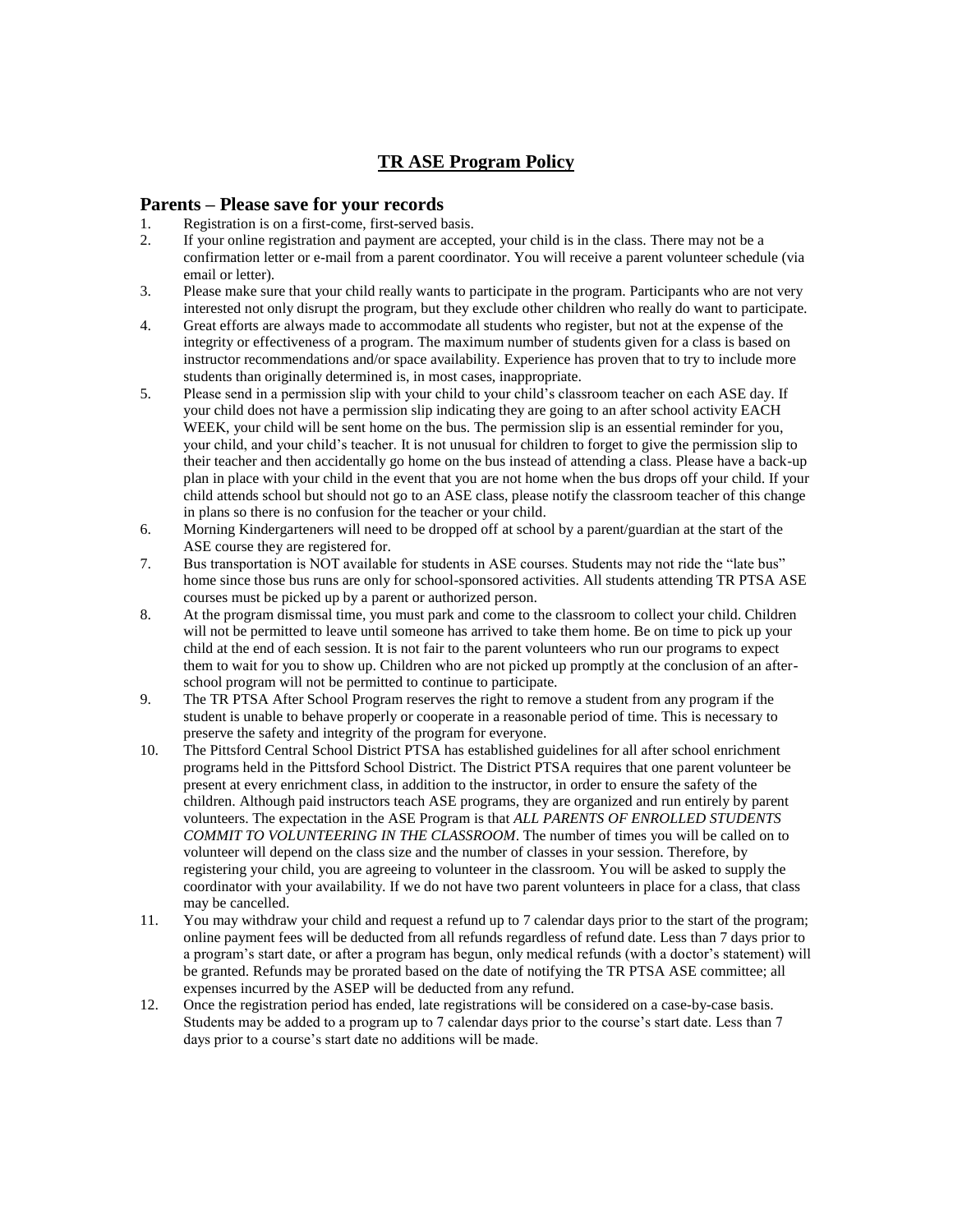#### **TR ASE Program Policy**

#### **Parents – Please save for your records**

- 1. Registration is on a first-come, first-served basis.<br>2. If your online registration and payment are accept
- If your online registration and payment are accepted, your child is in the class. There may not be a confirmation letter or e-mail from a parent coordinator. You will receive a parent volunteer schedule (via email or letter).
- 3. Please make sure that your child really wants to participate in the program. Participants who are not very interested not only disrupt the program, but they exclude other children who really do want to participate.
- 4. Great efforts are always made to accommodate all students who register, but not at the expense of the integrity or effectiveness of a program. The maximum number of students given for a class is based on instructor recommendations and/or space availability. Experience has proven that to try to include more students than originally determined is, in most cases, inappropriate.
- 5. Please send in a permission slip with your child to your child's classroom teacher on each ASE day. If your child does not have a permission slip indicating they are going to an after school activity EACH WEEK, your child will be sent home on the bus. The permission slip is an essential reminder for you, your child, and your child's teacher. It is not unusual for children to forget to give the permission slip to their teacher and then accidentally go home on the bus instead of attending a class. Please have a back-up plan in place with your child in the event that you are not home when the bus drops off your child. If your child attends school but should not go to an ASE class, please notify the classroom teacher of this change in plans so there is no confusion for the teacher or your child.
- 6. Morning Kindergarteners will need to be dropped off at school by a parent/guardian at the start of the ASE course they are registered for.
- 7. Bus transportation is NOT available for students in ASE courses. Students may not ride the "late bus" home since those bus runs are only for school-sponsored activities. All students attending TR PTSA ASE courses must be picked up by a parent or authorized person.
- 8. At the program dismissal time, you must park and come to the classroom to collect your child. Children will not be permitted to leave until someone has arrived to take them home. Be on time to pick up your child at the end of each session. It is not fair to the parent volunteers who run our programs to expect them to wait for you to show up. Children who are not picked up promptly at the conclusion of an afterschool program will not be permitted to continue to participate.
- 9. The TR PTSA After School Program reserves the right to remove a student from any program if the student is unable to behave properly or cooperate in a reasonable period of time. This is necessary to preserve the safety and integrity of the program for everyone.
- 10. The Pittsford Central School District PTSA has established guidelines for all after school enrichment programs held in the Pittsford School District. The District PTSA requires that one parent volunteer be present at every enrichment class, in addition to the instructor, in order to ensure the safety of the children. Although paid instructors teach ASE programs, they are organized and run entirely by parent volunteers. The expectation in the ASE Program is that *ALL PARENTS OF ENROLLED STUDENTS COMMIT TO VOLUNTEERING IN THE CLASSROOM*. The number of times you will be called on to volunteer will depend on the class size and the number of classes in your session. Therefore, by registering your child, you are agreeing to volunteer in the classroom. You will be asked to supply the coordinator with your availability. If we do not have two parent volunteers in place for a class, that class may be cancelled.
- 11. You may withdraw your child and request a refund up to 7 calendar days prior to the start of the program; online payment fees will be deducted from all refunds regardless of refund date. Less than 7 days prior to a program's start date, or after a program has begun, only medical refunds (with a doctor's statement) will be granted. Refunds may be prorated based on the date of notifying the TR PTSA ASE committee; all expenses incurred by the ASEP will be deducted from any refund.
- 12. Once the registration period has ended, late registrations will be considered on a case-by-case basis. Students may be added to a program up to 7 calendar days prior to the course's start date. Less than 7 days prior to a course's start date no additions will be made.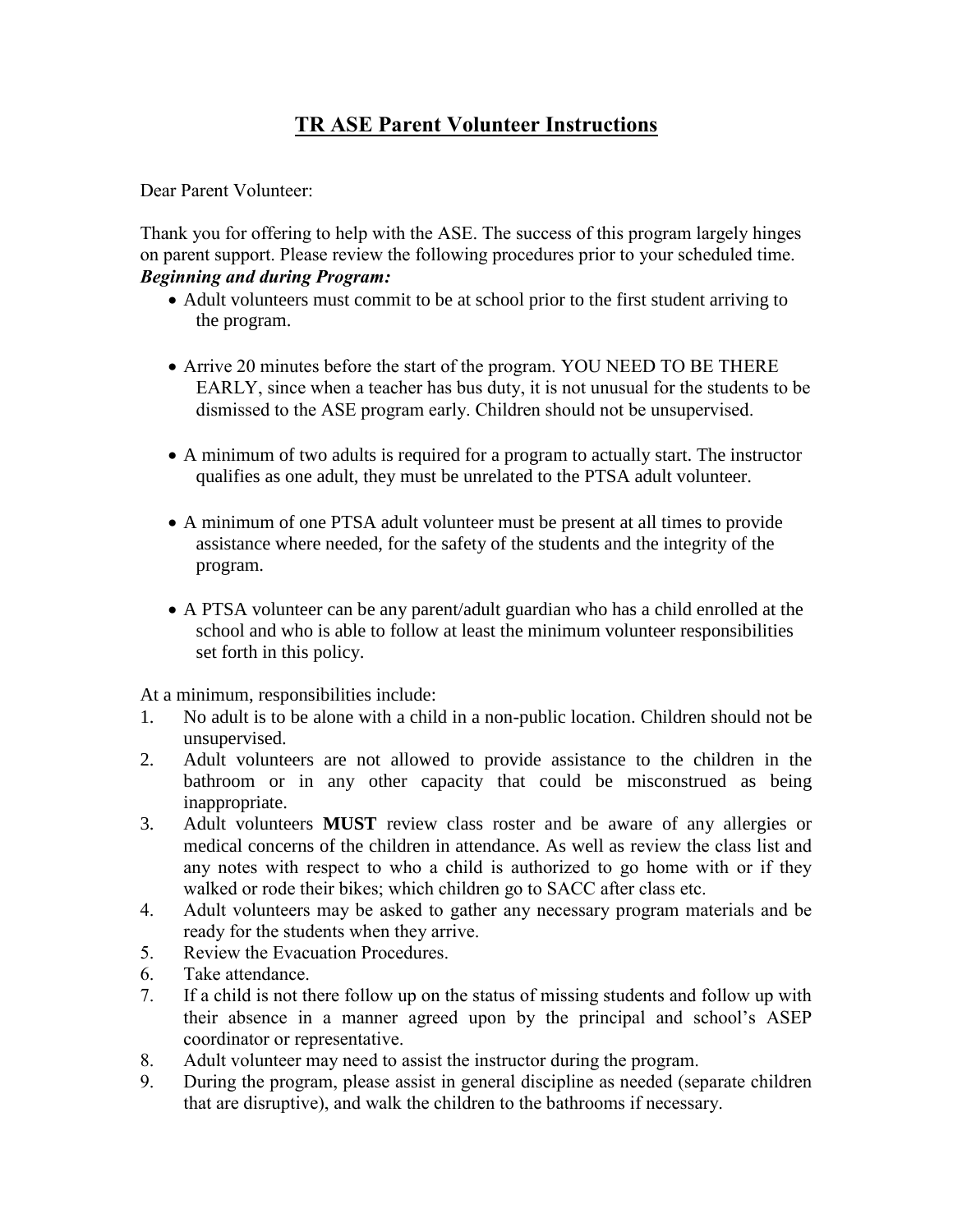# **TR ASE Parent Volunteer Instructions**

Dear Parent Volunteer:

Thank you for offering to help with the ASE. The success of this program largely hinges on parent support. Please review the following procedures prior to your scheduled time. *Beginning and during Program:*

- Adult volunteers must commit to be at school prior to the first student arriving to the program.
- Arrive 20 minutes before the start of the program. YOU NEED TO BE THERE EARLY, since when a teacher has bus duty, it is not unusual for the students to be dismissed to the ASE program early. Children should not be unsupervised.
- A minimum of two adults is required for a program to actually start. The instructor qualifies as one adult, they must be unrelated to the PTSA adult volunteer.
- A minimum of one PTSA adult volunteer must be present at all times to provide assistance where needed, for the safety of the students and the integrity of the program.
- A PTSA volunteer can be any parent/adult guardian who has a child enrolled at the school and who is able to follow at least the minimum volunteer responsibilities set forth in this policy.

At a minimum, responsibilities include:

- 1. No adult is to be alone with a child in a non-public location. Children should not be unsupervised.
- 2. Adult volunteers are not allowed to provide assistance to the children in the bathroom or in any other capacity that could be misconstrued as being inappropriate.
- 3. Adult volunteers **MUST** review class roster and be aware of any allergies or medical concerns of the children in attendance. As well as review the class list and any notes with respect to who a child is authorized to go home with or if they walked or rode their bikes; which children go to SACC after class etc.
- 4. Adult volunteers may be asked to gather any necessary program materials and be ready for the students when they arrive.
- 5. Review the Evacuation Procedures.
- 6. Take attendance.
- 7. If a child is not there follow up on the status of missing students and follow up with their absence in a manner agreed upon by the principal and school's ASEP coordinator or representative.
- 8. Adult volunteer may need to assist the instructor during the program.
- 9. During the program, please assist in general discipline as needed (separate children that are disruptive), and walk the children to the bathrooms if necessary.